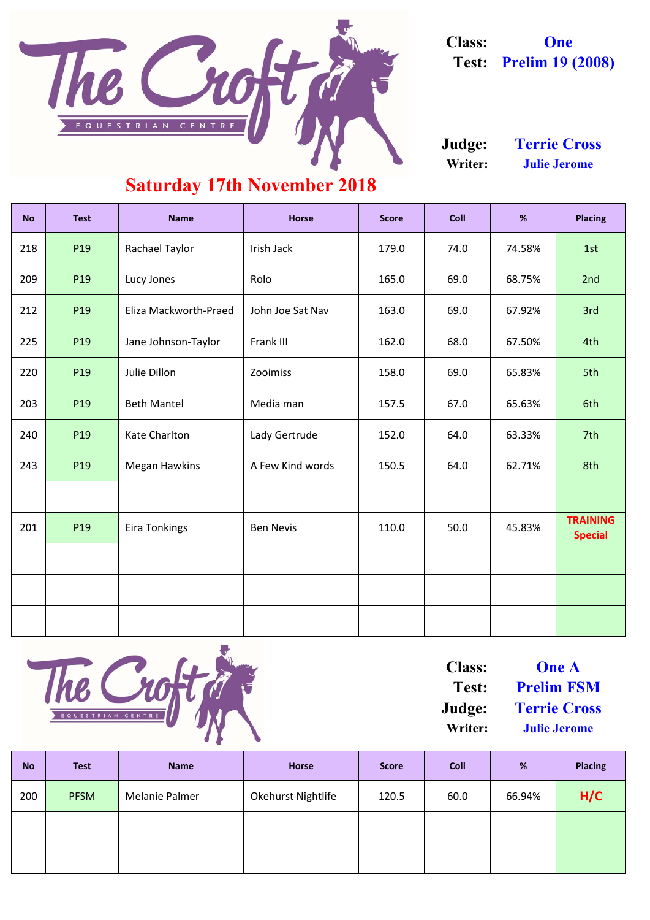| <b>No</b> | <b>Test</b>     | <b>Name</b>           | <b>Horse</b>     | <b>Score</b> | <b>Coll</b> | %      | <b>Placing</b>                    |
|-----------|-----------------|-----------------------|------------------|--------------|-------------|--------|-----------------------------------|
| 218       | P19             | <b>Rachael Taylor</b> | Irish Jack       | 179.0        | 74.0        | 74.58% | 1st                               |
| 209       | P19             | Lucy Jones            | Rolo             | 165.0        | 69.0        | 68.75% | 2nd                               |
| 212       | P19             | Eliza Mackworth-Praed | John Joe Sat Nav | 163.0        | 69.0        | 67.92% | 3rd                               |
| 225       | P19             | Jane Johnson-Taylor   | Frank III        | 162.0        | 68.0        | 67.50% | 4th                               |
| 220       | P19             | Julie Dillon          | Zooimiss         | 158.0        | 69.0        | 65.83% | 5th                               |
| 203       | P19             | <b>Beth Mantel</b>    | Media man        | 157.5        | 67.0        | 65.63% | 6th                               |
| 240       | P19             | <b>Kate Charlton</b>  | Lady Gertrude    | 152.0        | 64.0        | 63.33% | 7th                               |
| 243       | P19             | <b>Megan Hawkins</b>  | A Few Kind words | 150.5        | 64.0        | 62.71% | 8th                               |
|           |                 |                       |                  |              |             |        |                                   |
| 201       | P <sub>19</sub> | <b>Eira Tonkings</b>  | <b>Ben Nevis</b> | 110.0        | 50.0        | 45.83% | <b>TRAINING</b><br><b>Special</b> |
|           |                 |                       |                  |              |             |        |                                   |
|           |                 |                       |                  |              |             |        |                                   |
|           |                 |                       |                  |              |             |        |                                   |



| <b>No</b> | <b>Test</b> | <b>Name</b>           | <b>Horse</b>              | <b>Score</b> | <b>Coll</b> | %      | <b>Placing</b> |
|-----------|-------------|-----------------------|---------------------------|--------------|-------------|--------|----------------|
| 200       | <b>PFSM</b> | <b>Melanie Palmer</b> | <b>Okehurst Nightlife</b> | 120.5        | 60.0        | 66.94% | H/C            |
|           |             |                       |                           |              |             |        |                |
|           |             |                       |                           |              |             |        |                |

**Writer: Julie Jerome Judge: Terrie Cross**



**Class: One Test: Prelim 19 (2008)**

**Test: Prelim FSM Class: One A**

**Writer: Julie Jerome Judge: Terrie Cross**

### **Saturday 17th November 2018**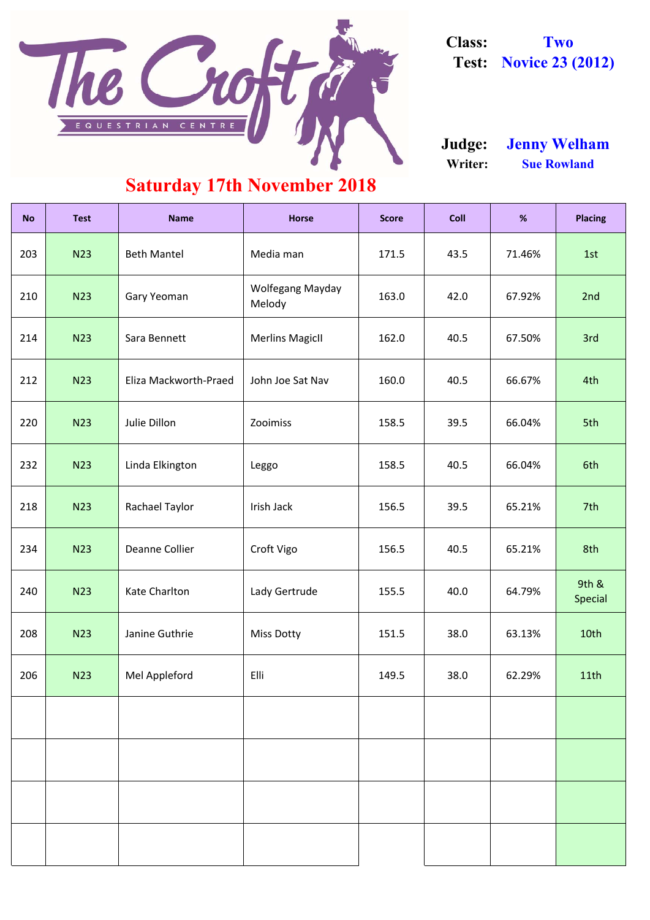| <b>No</b> | <b>Test</b> | <b>Name</b>           | <b>Horse</b>               | <b>Score</b> | <b>Coll</b> | %      | <b>Placing</b>   |
|-----------|-------------|-----------------------|----------------------------|--------------|-------------|--------|------------------|
| 203       | <b>N23</b>  | <b>Beth Mantel</b>    | Media man                  | 171.5        | 43.5        | 71.46% | 1st              |
| 210       | <b>N23</b>  | <b>Gary Yeoman</b>    | Wolfegang Mayday<br>Melody | 163.0        | 42.0        | 67.92% | 2nd              |
| 214       | <b>N23</b>  | Sara Bennett          | <b>Merlins MagicII</b>     | 162.0        | 40.5        | 67.50% | 3rd              |
| 212       | <b>N23</b>  | Eliza Mackworth-Praed | John Joe Sat Nav           | 160.0        | 40.5        | 66.67% | 4th              |
| 220       | <b>N23</b>  | Julie Dillon          | Zooimiss                   | 158.5        | 39.5        | 66.04% | 5th              |
| 232       | <b>N23</b>  | Linda Elkington       | Leggo                      | 158.5        | 40.5        | 66.04% | 6th              |
| 218       | <b>N23</b>  | Rachael Taylor        | Irish Jack                 | 156.5        | 39.5        | 65.21% | 7th              |
| 234       | <b>N23</b>  | Deanne Collier        | Croft Vigo                 | 156.5        | 40.5        | 65.21% | 8th              |
| 240       | <b>N23</b>  | <b>Kate Charlton</b>  | Lady Gertrude              | 155.5        | 40.0        | 64.79% | 9th &<br>Special |
| 208       | <b>N23</b>  | Janine Guthrie        | <b>Miss Dotty</b>          | 151.5        | 38.0        | 63.13% | 10th             |
| 206       | <b>N23</b>  | Mel Appleford         | Elli                       | 149.5        | 38.0        | 62.29% | 11th             |
|           |             |                       |                            |              |             |        |                  |
|           |             |                       |                            |              |             |        |                  |
|           |             |                       |                            |              |             |        |                  |
|           |             |                       |                            |              |             |        |                  |



**Class: Two Test: Novice 23 (2012)**

**Writer: Sue Rowland Judge: Jenny Welham**

### **Saturday 17th November 2018**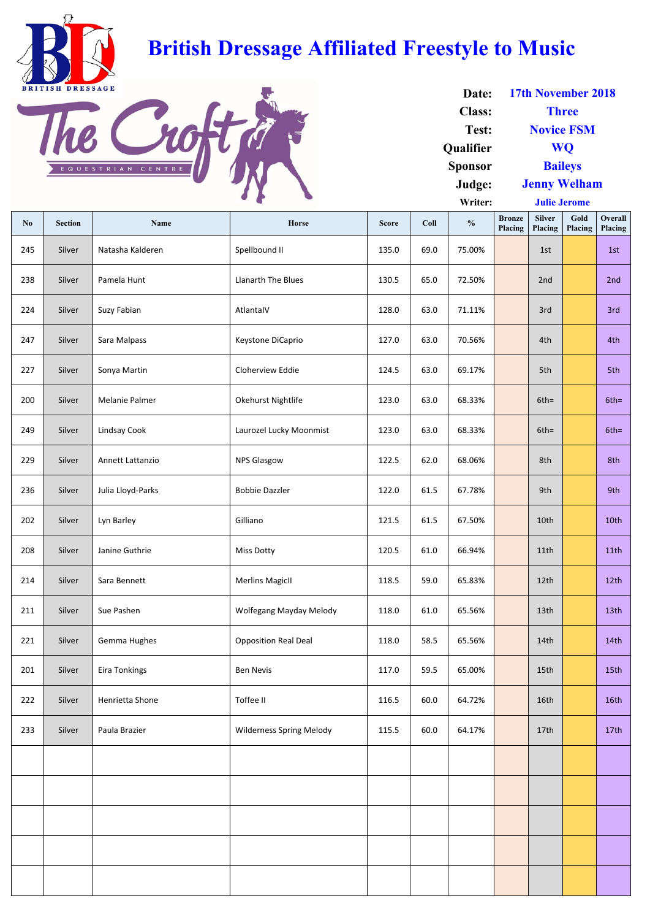| N <sub>0</sub> | <b>Section</b> | <b>Name</b>          | Horse                           | <b>Score</b> | Coll | $\frac{0}{0}$ | <b>Bronze</b><br><b>Placing</b> | <b>Silver</b><br>Placing | Gold<br>Placing | <b>Overall</b><br>Placing |
|----------------|----------------|----------------------|---------------------------------|--------------|------|---------------|---------------------------------|--------------------------|-----------------|---------------------------|
| 245            | Silver         | Natasha Kalderen     | Spellbound II                   | 135.0        | 69.0 | 75.00%        |                                 | 1st                      |                 | 1st                       |
| 238            | Silver         | Pamela Hunt          | Llanarth The Blues              | 130.5        | 65.0 | 72.50%        |                                 | 2nd                      |                 | 2nd                       |
| 224            | Silver         | Suzy Fabian          | AtlantalV                       | 128.0        | 63.0 | 71.11%        |                                 | 3rd                      |                 | 3rd                       |
| 247            | Silver         | Sara Malpass         | Keystone DiCaprio               | 127.0        | 63.0 | 70.56%        |                                 | 4th                      |                 | 4th                       |
| 227            | Silver         | Sonya Martin         | Cloherview Eddie                | 124.5        | 63.0 | 69.17%        |                                 | 5th                      |                 | 5th                       |
| 200            | Silver         | Melanie Palmer       | Okehurst Nightlife              | 123.0        | 63.0 | 68.33%        |                                 | $6th =$                  |                 | $6th =$                   |
| 249            | Silver         | Lindsay Cook         | Laurozel Lucky Moonmist         | 123.0        | 63.0 | 68.33%        |                                 | $6th =$                  |                 | $6th =$                   |
| 229            | Silver         | Annett Lattanzio     | <b>NPS Glasgow</b>              | 122.5        | 62.0 | 68.06%        |                                 | 8th                      |                 | 8th                       |
| 236            | Silver         | Julia Lloyd-Parks    | <b>Bobbie Dazzler</b>           | 122.0        | 61.5 | 67.78%        |                                 | 9th                      |                 | 9th                       |
| 202            | Silver         | Lyn Barley           | Gilliano                        | 121.5        | 61.5 | 67.50%        |                                 | 10th                     |                 | 10th                      |
| 208            | Silver         | Janine Guthrie       | <b>Miss Dotty</b>               | 120.5        | 61.0 | 66.94%        |                                 | 11th                     |                 | 11th                      |
| 214            | Silver         | Sara Bennett         | <b>Merlins MagicII</b>          | 118.5        | 59.0 | 65.83%        |                                 | 12th                     |                 | 12th                      |
| 211            | Silver         | Sue Pashen           | <b>Wolfegang Mayday Melody</b>  | 118.0        | 61.0 | 65.56%        |                                 | 13th                     |                 | 13th                      |
| 221            | Silver         | Gemma Hughes         | <b>Opposition Real Deal</b>     | 118.0        | 58.5 | 65.56%        |                                 | 14th                     |                 | 14 <sub>th</sub>          |
| 201            | Silver         | <b>Eira Tonkings</b> | <b>Ben Nevis</b>                | 117.0        | 59.5 | 65.00%        |                                 | 15th                     |                 | 15th                      |
| 222            | Silver         | Henrietta Shone      | Toffee II                       | 116.5        | 60.0 | 64.72%        |                                 | 16th                     |                 | 16th                      |
| 233            | Silver         | Paula Brazier        | <b>Wilderness Spring Melody</b> | 115.5        | 60.0 | 64.17%        |                                 | 17th                     |                 | 17 <sub>th</sub>          |
|                |                |                      |                                 |              |      |               |                                 |                          |                 |                           |
|                |                |                      |                                 |              |      |               |                                 |                          |                 |                           |
|                |                |                      |                                 |              |      |               |                                 |                          |                 |                           |
|                |                |                      |                                 |              |      |               |                                 |                          |                 |                           |
|                |                |                      |                                 |              |      |               |                                 |                          |                 |                           |
|                |                |                      |                                 |              |      |               |                                 |                          |                 |                           |

| Date:            | 17th November 2018  |  |  |  |  |  |
|------------------|---------------------|--|--|--|--|--|
| <b>Class:</b>    | <b>Three</b>        |  |  |  |  |  |
| Test:            | <b>Novice FSM</b>   |  |  |  |  |  |
| <b>Qualifier</b> | <b>WO</b>           |  |  |  |  |  |
| <b>Sponsor</b>   | <b>Baileys</b>      |  |  |  |  |  |
| Judge:           | <b>Jenny Welham</b> |  |  |  |  |  |
| Writer:          | <b>Julie Jerome</b> |  |  |  |  |  |



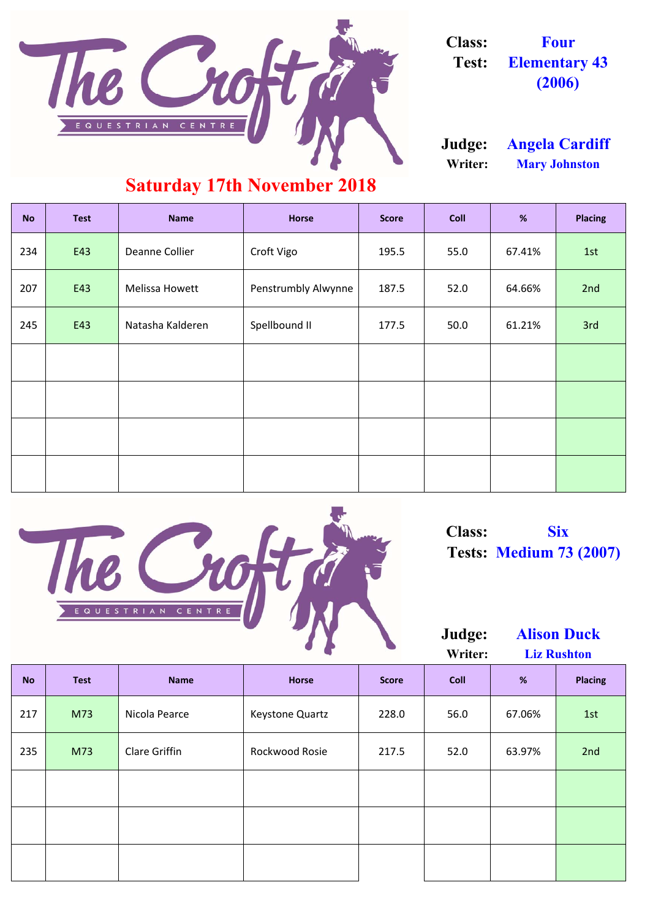| <b>No</b> | <b>Test</b> | <b>Name</b>           | <b>Horse</b>        | <b>Score</b> | <b>Coll</b> | %      | <b>Placing</b> |  |  |  |
|-----------|-------------|-----------------------|---------------------|--------------|-------------|--------|----------------|--|--|--|
| 234       | E43         | Deanne Collier        | Croft Vigo          | 195.5        | 55.0        | 67.41% | 1st            |  |  |  |
| 207       | E43         | <b>Melissa Howett</b> | Penstrumbly Alwynne | 187.5        | 52.0        | 64.66% | 2nd            |  |  |  |
| 245       | E43         | Natasha Kalderen      | Spellbound II       | 177.5        | 50.0        | 61.21% | 3rd            |  |  |  |
|           |             |                       |                     |              |             |        |                |  |  |  |
|           |             |                       |                     |              |             |        |                |  |  |  |
|           |             |                       |                     |              |             |        |                |  |  |  |
|           |             |                       |                     |              |             |        |                |  |  |  |

| 217 | M73 | Nicola Pearce        | <b>Keystone Quartz</b> | 228.0 | 56.0 | 67.06% | 1st |
|-----|-----|----------------------|------------------------|-------|------|--------|-----|
| 235 | M73 | <b>Clare Griffin</b> | Rockwood Rosie         | 217.5 | 52.0 | 63.97% | 2nd |
|     |     |                      |                        |       |      |        |     |
|     |     |                      |                        |       |      |        |     |
|     |     |                      |                        |       |      |        |     |
|     |     |                      |                        |       |      |        |     |





**Class: Four Test: Elementary 43 (2006)**

**Writer: Mary Johnston Judge: Angela Cardiff**

#### **Saturday 17th November 2018**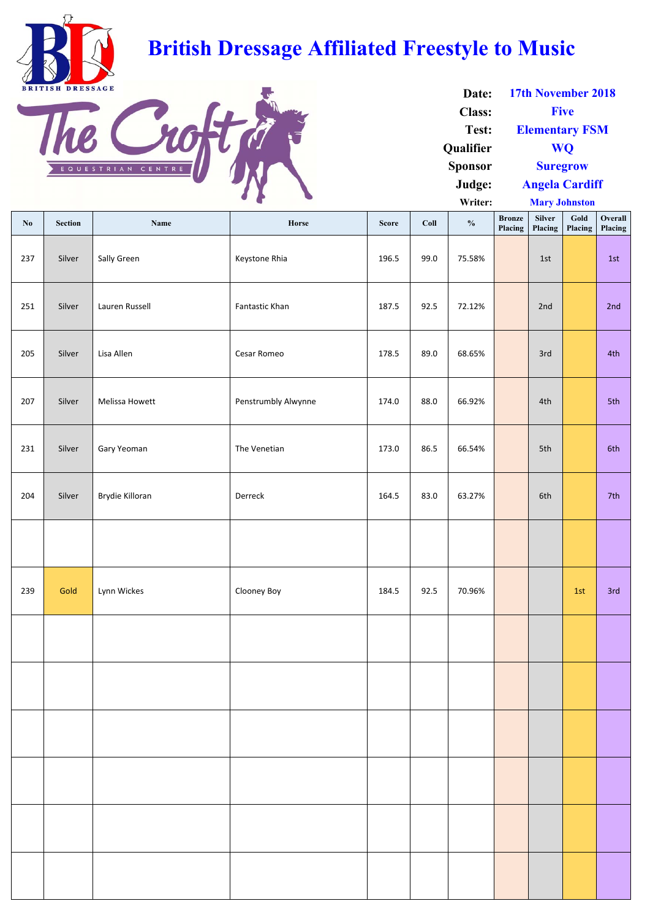| No  | <b>Section</b> | Name            | Horse                 | <b>Score</b> | Coll | $\frac{0}{0}$ | <b>Bronze</b><br>Placing | <b>Silver</b><br>Placing | Gold<br>Placing | Overall<br>Placing |
|-----|----------------|-----------------|-----------------------|--------------|------|---------------|--------------------------|--------------------------|-----------------|--------------------|
| 237 | Silver         | Sally Green     | Keystone Rhia         | 196.5        | 99.0 | 75.58%        |                          | 1st                      |                 | 1st                |
| 251 | Silver         | Lauren Russell  | <b>Fantastic Khan</b> | 187.5        | 92.5 | 72.12%        |                          | 2nd                      |                 | 2nd                |
| 205 | Silver         | Lisa Allen      | Cesar Romeo           | 178.5        | 89.0 | 68.65%        |                          | 3rd                      |                 | 4th                |
| 207 | Silver         | Melissa Howett  | Penstrumbly Alwynne   | 174.0        | 88.0 | 66.92%        |                          | 4th                      |                 | 5th                |
| 231 | Silver         | Gary Yeoman     | The Venetian          | 173.0        | 86.5 | 66.54%        |                          | 5th                      |                 | 6th                |
| 204 | Silver         | Brydie Killoran | Derreck               | 164.5        | 83.0 | 63.27%        |                          | 6th                      |                 | 7th                |
|     |                |                 |                       |              |      |               |                          |                          |                 |                    |
| 239 | Gold           | Lynn Wickes     | Clooney Boy           | 184.5        | 92.5 | 70.96%        |                          |                          | 1st             | 3rd                |
|     |                |                 |                       |              |      |               |                          |                          |                 |                    |
|     |                |                 |                       |              |      |               |                          |                          |                 |                    |

**Writer: Mary Johnston**

| Date:            | 17th November 2018    |
|------------------|-----------------------|
| <b>Class:</b>    | <b>Five</b>           |
| Test:            | <b>Elementary FSM</b> |
| <b>Oualifier</b> | <b>WO</b>             |
| <b>Sponsor</b>   | <b>Suregrow</b>       |
| Judge:           | <b>Angela Cardiff</b> |



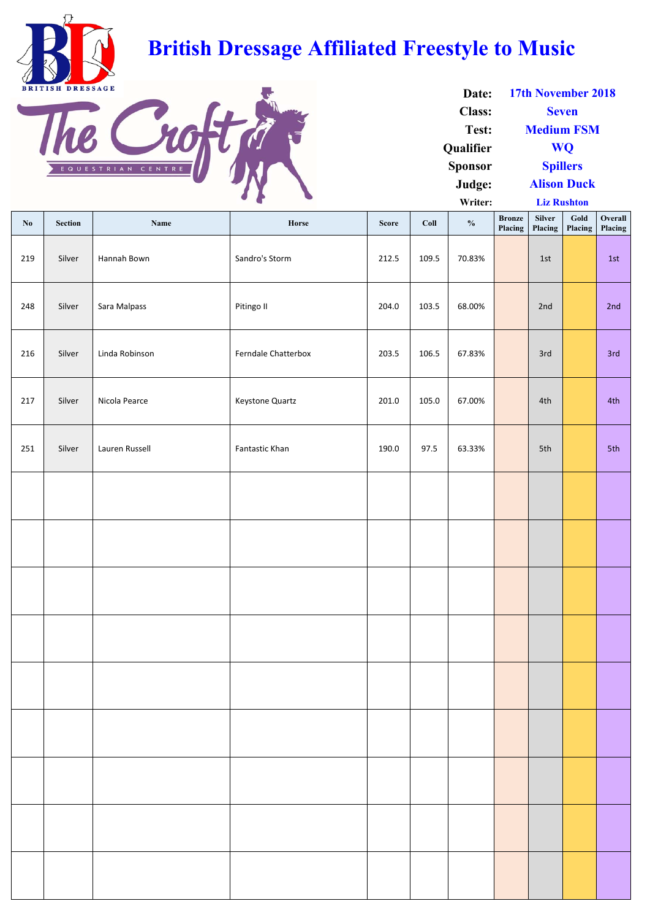**Writer:**

| $\mathbf{N}\mathbf{0}$ | Section | Name           | Horse               | <b>Score</b> | Coll  | $\frac{0}{0}$ | <b>Bronze</b><br>Placing | Silver<br>Placing | Gold<br>Placing | Overall<br>Placing |
|------------------------|---------|----------------|---------------------|--------------|-------|---------------|--------------------------|-------------------|-----------------|--------------------|
| 219                    | Silver  | Hannah Bown    | Sandro's Storm      | 212.5        | 109.5 | 70.83%        |                          | 1st               |                 | 1st                |
| 248                    | Silver  | Sara Malpass   | Pitingo II          | 204.0        | 103.5 | 68.00%        |                          | 2nd               |                 | 2nd                |
| 216                    | Silver  | Linda Robinson | Ferndale Chatterbox | 203.5        | 106.5 | 67.83%        |                          | 3rd               |                 | 3rd                |
| 217                    | Silver  | Nicola Pearce  | Keystone Quartz     | 201.0        | 105.0 | 67.00%        |                          | 4th               |                 | 4th                |
| 251                    | Silver  | Lauren Russell | Fantastic Khan      | 190.0        | 97.5  | 63.33%        |                          | 5th               |                 | 5th                |
|                        |         |                |                     |              |       |               |                          |                   |                 |                    |
|                        |         |                |                     |              |       |               |                          |                   |                 |                    |
|                        |         |                |                     |              |       |               |                          |                   |                 |                    |
|                        |         |                |                     |              |       |               |                          |                   |                 |                    |
|                        |         |                |                     |              |       |               |                          |                   |                 |                    |
|                        |         |                |                     |              |       |               |                          |                   |                 |                    |
|                        |         |                |                     |              |       |               |                          |                   |                 |                    |
|                        |         |                |                     |              |       |               |                          |                   |                 |                    |
|                        |         |                |                     |              |       |               |                          |                   |                 |                    |

| Date:            | <b>17th November 2018</b> |
|------------------|---------------------------|
| <b>Class:</b>    | <b>Seven</b>              |
| Test:            | <b>Medium FSM</b>         |
| <b>Qualifier</b> | <b>WO</b>                 |
| <b>Sponsor</b>   | <b>Spillers</b>           |
| Judge:           | <b>Alison Duck</b>        |

**Liz Rushton**